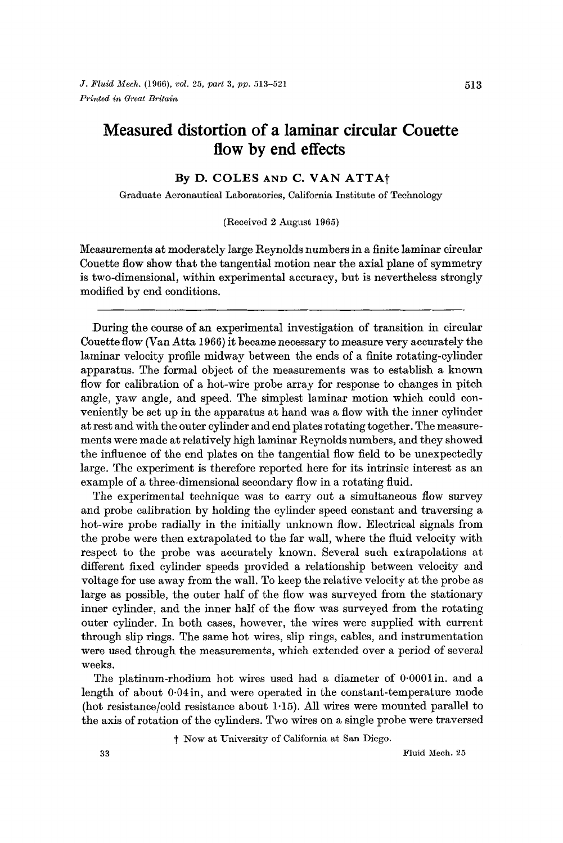# **Measured distortion of a laminar circular Couette flow by end effects**

## **By** D. **COLES AND C. VAN ATTAt**

Graduate Aeronautical Laboratories, California Institute of Technology

### (Received *2* August **1965)**

Measurements at moderately large Reynolds numbers in a finite laminar circular Couette flow show that the tangential motion near the axial plane of symmetry is two-dimensional, within experimental accuracy, but is nevertheless strongly modified by end conditions.

During the course of an experimental investigation of transition in circular Couette flow (Van Atta 1966) it became necessary to measure very accurately the laminar velocity profile midway between the ends of a finite rotating-cylinder apparatus. The formal object of the measurements was to establish a known flow for calibration of a hot-wire probe array for response to changes in pitch angle, yaw angle, and speed. The simplest laminar motion which could conveniently be set up in the apparatus at hand was a flow with the inner cylinder at rest and with the outer cylinder and end plates rotating together. The measurements were made at relatively high laminar Reynolds numbers, and they showed the influence of the end plates on the tangential flow field to be unexpectedly large. The experiment is therefore reported here for its intrinsic interest as an example of a three-dimensional secondary flow in a rotating fluid.

The experimental technique was to carry out a simultaneous flow survey and probe calibration by holding the cylinder speed constant and traversing a hot-wire probe radially in the initially unknown flow. Electrical signals from the probe were then extrapolated to the far wall, where the fluid velocity with respect to the probe was accurately known. Several such extrapolations at different fixed cylinder speeds provided a relationship between velocity and voltage for use away from the wall. To keep the relative velocity at the probe as large as possible, the outer half of the flow was surveyed from the stationary inner cylinder, and the inner half of the flow was surveyed from the rotating outer cylinder. In both cases, however, the wires were supplied with current through slip rings. The same hot wires, slip rings, cables, and instrumentation were used through the measurements, which extended over a period of several weeks.

The platinum-rhodium hot wires used had a diameter of 0.0001in. and a length of about **0.04** in, and were operated in the constant-temperature mode (hot resistance/cold resistance about **1.15).** All wires were mounted parallel to the axis of rotation of the cylinders. Two wires on a single probe were traversed

t Now at University of California at San Diego.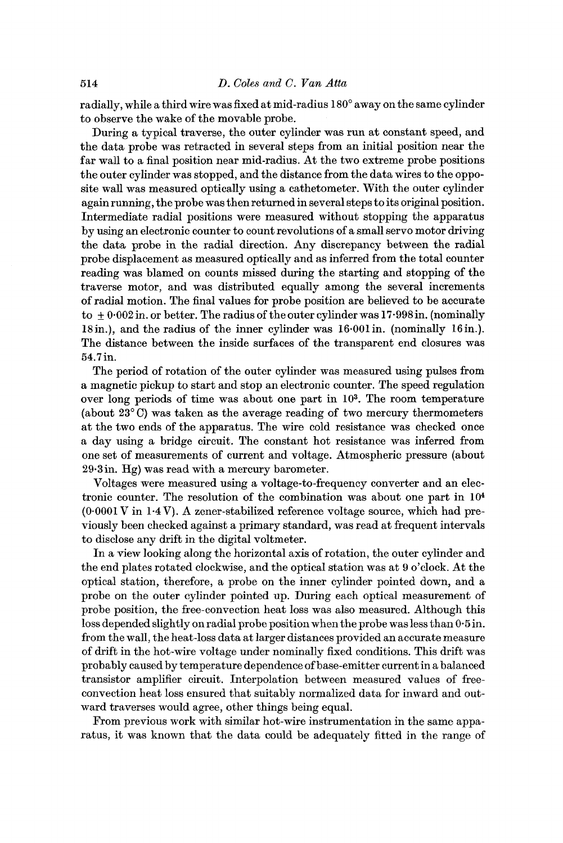radially, while a third wire was fixed at mid-radius  $180^\circ$  away on the same cylinder to observe the wake of the movable probe.

During a typical traverse, the outer cylinder was run at constant speed, and the data probe was retracted in several steps from an initial position near the far wall to a final position near mid-radius. At the two extreme probe positions the outer cylinder was stopped, and the distance from the data wires to the opposite wall was measured optically using a cathetometer. With the outer cylinder again running, the probe was then returned in several steps to its original position. Intermediate radial positions were measured without stopping the apparatus by using an electronic counter to count revolutions of a small servo motor driving the data probe in the radial direction. Any discrepancy between the radial probe displacement as measured optically and as inferred from the total counter reading was blamed on counts missed during the starting and stopping of the traverse motor, and was distributed equally among the several increments of radial motion. The final values for probe position are believed to be accurate to  $\pm 0.002$  in. or better. The radius of the outer cylinder was 17.998 in. (nominally lSin.), and the radius of the inner cylinder was 16.001in. (nominally 16in.). The distance between the inside surfaces of the transparent end closures was **54.7** in.

The period of rotation of the outer cylinder was measured using pulses from a magnetic pickup to start and stop an electronic counter. The speed regulation over long periods of time was about one part in **lo3.** The room temperature (about 23" **C)** was taken as the average reading of two mercury thermometers at the two ends of the apparatus. The wire cold resistance was checked once a day using a bridge circuit. The constant hot resistance was inferred from one set of measurements of current and voltage. Atmospheric pressure (about 29-3 in. Hg) was read with a mercury barometer.

Voltages were measured using a voltage-to-frequency converter and an electronic counter. The resolution of the combination was about one part in **lo4**   $(0.0001 \text{ V}$  in  $1.4 \text{ V})$ . A zener-stabilized reference voltage source, which had previously been checked against a primary standard, was read at frequent intervals to disclose any drift in the digital voltmeter.

In a view looking along the horizontal axis of rotation, the outer cylinder and the end plates rotated clockwise, and the optical station was at 9 o'clock. At the optical station, therefore, a probe on the inner cylinder pointed down, and a probe on the outer cylinder pointed up. During each optical measurement of probe position, the free-convection heat loss was also measured. Although this loss depended slightly on radial probe position when the probe was less than **0.5** in. from the wall, the heat-loss data at larger distances provided an accurate measure of drift in the hot-wire voltage under nominally fixed conditions. This drift was probably caused by temperature dependence of base-emitter current in a balanced transistor amplifier circuit. Interpolation between measured values of freeconvection heat loss ensured that suitably normalized data for inward and outward traverses would agree, other things being equal.

From previous work with similar hot-wire instrumentation in the same apparatus, it was known that the data could be adequately fitted in the range of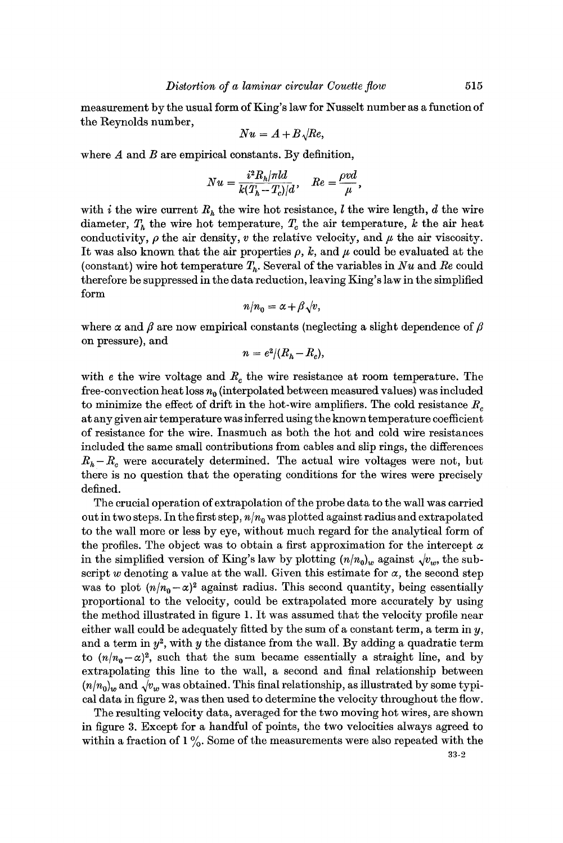measurement by the usual form of King's law for Nusselt number as a function of the Reynolds number,

$$
Nu = A + B\sqrt{Re},
$$

where *A* and *B* are empirical constants. By definition,

$$
Nu=\frac{i^2R_h/\pi ld}{k(T_h-T_c)/d},\quad Re=\frac{\rho vd}{\mu},
$$

with *i* the wire current  $R_h$  the wire hot resistance, *l* the wire length, *d* the wire diameter,  $T_h$  the wire hot temperature,  $T_c$  the air temperature, k the air heat conductivity,  $\rho$  the air density,  $v$  the relative velocity, and  $\mu$  the air viscosity. It was also known that the air properties  $\rho$ ,  $k$ , and  $\mu$  could be evaluated at the (constant) wire hot temperature  $T_h$ . Several of the variables in  $Nu$  and  $Re$  could therefore be suppressed in the data reduction, leaving King's law in the simplified form

$$
n/n_0 = \alpha + \beta \sqrt{v},
$$

where  $\alpha$  and  $\beta$  are now empirical constants (neglecting a slight dependence of  $\beta$ on pressure), and

$$
n = e^2/(R_h - R_c),
$$

with *e* the wire voltage and *B,* the wire resistance at room temperature. The free-convection heat loss *no* (interpolated between measured values) was included to minimize the effect of drift in the hot-wire amplifiers. The cold resistance  $R_c$ at any given air temperature was inferred using the known temperature coefficient of resistance for the wire. Inasmuch as both the hot and cold wire resistances included the same small contributions from cables and slip rings, the differences  $R_h - R_c$  were accurately determined. The actual wire voltages were not, but there is no question that the operating conditions for the wires were precisely defined.

The crucial operation of extrapolation of the probe data to the wall was carried out in two steps. In the first step,  $n/n_0$  was plotted against radius and extrapolated to the wall more or less by eye, without much regard for the analytical form of the profiles. The object was to obtain a first approximation for the intercept  $\alpha$ in the simplified version of King's law by plotting  $(n/n_0)_w$  against  $\sqrt{v_w}$ , the subscript  $w$  denoting a value at the wall. Given this estimate for  $\alpha$ , the second step was to plot  $(n/n_0 - \alpha)^2$  against radius. This second quantity, being essentially proportional to the velocity, could be extrapolated more accurately by using the method illustrated in figure **1.** It was assumed that the velocity profile near either wall could be adequately fitted by the sum of a constant term, a term in  $\mathbf{y}$ , and a term in  $y^2$ , with y the distance from the wall. By adding a quadratic term to  $(n/n_0 - \alpha)^2$ , such that the sum became essentially a straight line, and by extrapolating this line to the wall, a second and final relationship between  $(n/n_0)_w$  and  $\sqrt{v_w}$  was obtained. This final relationship, as illustrated by some typical data in figure *2,* was then used to determine the velocity throughout the flow.

The resulting velocity data, averaged for the two moving hot wires, are shown in figure **3.** Except for a handful of points, the two velocities always agreed to within a fraction of  $1\%$ . Some of the measurements were also repeated with the

**33-2**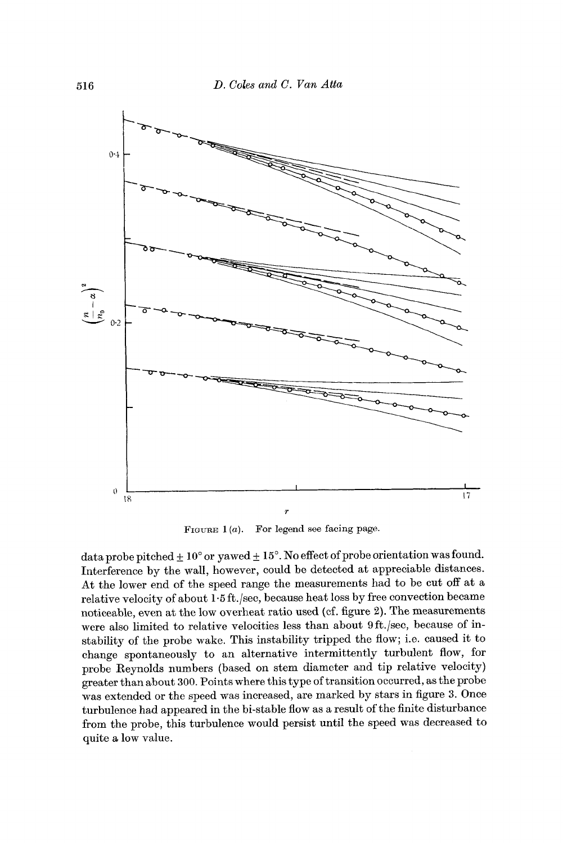

**FIGURE 1** *(a).* For legend *see* facing page.

data probe pitched  $\pm 10^{\circ}$  or yawed  $\pm 15^{\circ}$ . No effect of probe orientation was found. Interference by the wall, however, could be detected at appreciable distances. At the lower end of the speed range the measurements had to be cut off at a relative velocity of about **1.5** ft./sec, because heat loss by free convection became noticeable, even at the low overheat ratio used (cf. figure 2). The measurements were also limited to relative velocities less than about 9ft./sec, because of instability of the probe wake. This instability tripped the flow; i.e. caused it to change spontaneously to an alternative intermittently turbulent flow, for probe Reynolds numbers (based on stem diameter and tip relative velocity) greater than about **300.** Points where this type of transition occurred, as the probe was extended or the speed was increased, are marked by stars in figure **3.** Once turbulence had appeared in the bi-stable flow as a result of the finite disturbance from the probe, this turbulence would persist until the speed was decreased to quite a low value.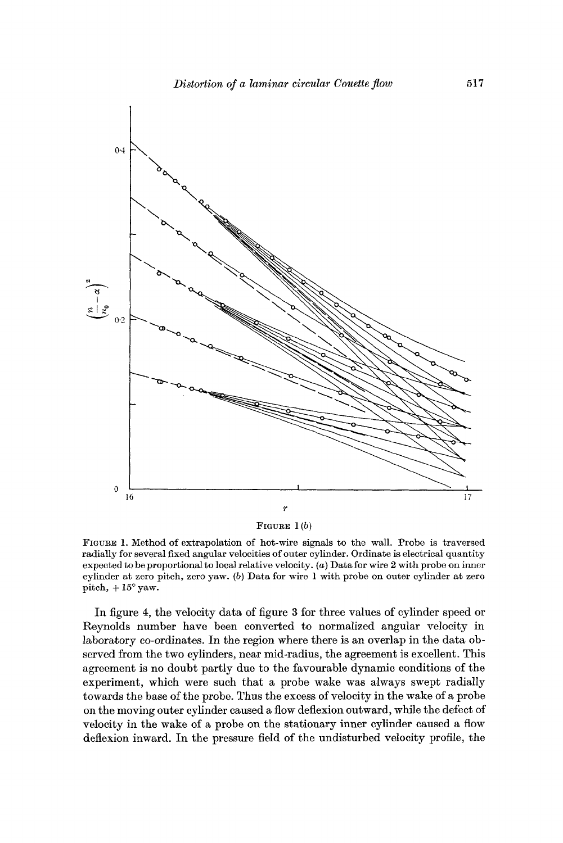

FIGURE  $l(b)$ 

FIGURE **1.** Method of extrapolation of hot-wire signals to the wall. Probe is traversed radially for several fixed angular velocities of outer cylinder. Ordinate is electrical quantity expected to be proportional to local relative velocity. *(a)* Data **for** wire **2** with probe on inner cylinder at zero pitch, zero yaw. *(b)* Data **for** wire 1 with probe on outer cylinder at zero pitch,  $+15^{\circ}$  yaw.

In figure **4,** the velocity data of figure **3** for three values of cylinder speed or Reynolds number have been converted to normalized angular velocity in laboratory co-ordinates. In the region where there is an overlap in the data observed from the two cylinders, near mid-radius, the agreement is excellent. This agreement is no doubt partly due to the favourable dynamic conditions of the experiment, which were such that a probe wake was always swept radially towards the base of the probe. Thus the excess of velocity in the wake of a probe on the moving outer cylinder caused a flow deflexion outward, while the defect of velocity in the wake of a probe on the stationary inner cylinder caused **a** flow deflexion inward. In the pressure field of the undisturbed velocity profile, the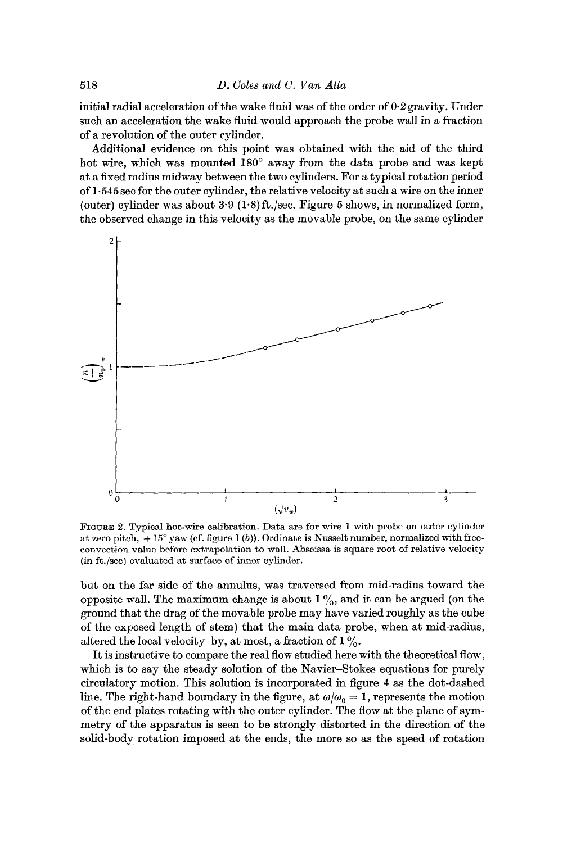initial radial acceleration of the wake fluid was of the order of **0.2** gravity. Under such an acceleration the wake fluid would approach the probe wall in a fraction of a revolution of the outer cylinder.

Additional evidence on this point was obtained with the aid of the third hot wire, which was mounted 180° away from the data probe and was kept at a fixed radius midway between the two cylinders. For a typical rotation period of 1.545 see for the outer cylinder, the relative velocity at such a wire on the inner (outer) cylinder was about **3.9** (1\*8)ft./sec. Figure 5 shows, in normalized form, the observed change in this velocity as the movable probe, on the same cylinder



FIGURE 2. Typical hot-wire calibration. Data are for wire 1 with probe on outer cylinder at zero pitch,  $+15^{\circ}$  yaw (cf. figure 1(b)). Ordinate is Nusselt number, normalized with freeconvection value before extrapolation to wall. Abscissa is square root of relative velocity (in ft./sec) evaluated at surface of inner cylinder.

but on the far side of the annulus, was traversed from mid-radius toward the opposite wall. The maximum change is about  $1\frac{9}{2}$ , and it can be argued (on the ground that the drag of the movable probe may have varied roughly as the cube of the exposed length of stem) that the main data probe, when at mid-radius, altered the local velocity by, at most, a fraction of  $1\%$ .

It is instructive to compare the real flow studied here with the theoretical flow, which is to say the steady solution of the Navier-Stokes equations for purely circulatory motion. This solution is incorporated in figure 4 as the dot-dashed line. The right-hand boundary in the figure, at  $\omega/\omega_0 = 1$ , represents the motion of the end plates rotating with the outer cylinder. The flow at the plane of symmetry of the apparatus is seen to be strongly distorted in the direction of the solid-body rotation imposed at the ends, the more so as the speed of rotation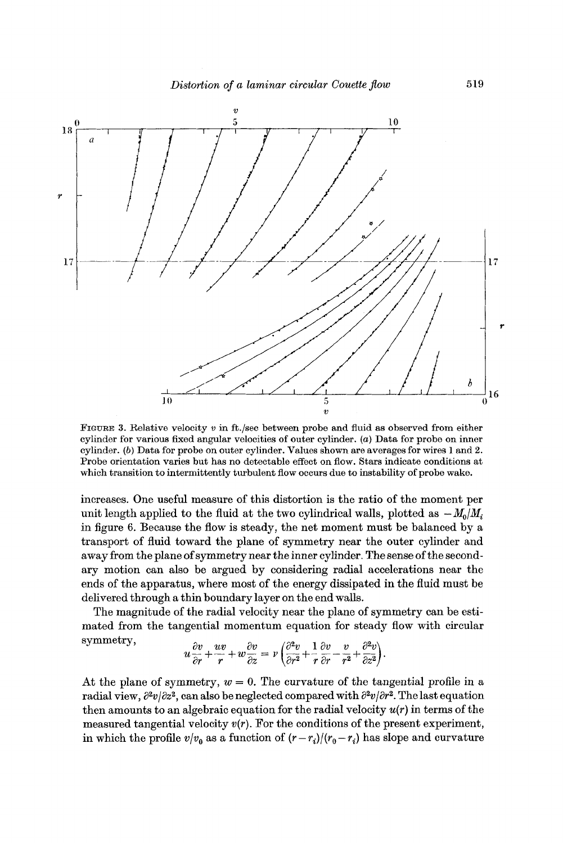

**FIGURE 3.**Relative velocity v in ft./sec between probe and fluid **as** observed from either cylinder for various fixed angular velocities of outer cylinder. *(a)* Data for probe on inner cylinder. *(b)* Data for probe on outer cylinder. Values shown are averages for wires 1 and **2.**  Probe orientation varies but **has** no detectable effect on flow. Stars indicate conditions at which transition to intermittently turbulent flow occurs due to instability of probe wake.

increases. One useful measure of this distortion is the ratio of the moment per unit length applied to the fluid at the two cylindrical walls, plotted as  $-M_0/M_i$ in figure **6.** Because the flow is steady, the net moment must be balanced by a transport of fluid toward the plane of symmetry near the outer cylinder and away from the plane of symmetry near the inner cylinder. The sense of the secondary motion can also be argued by considering radial accelerations near the ends of the apparatus, where most of the energy dissipated in the fluid must be delivered through a thin boundary layer on the end walls.

The magnitude of the radial velocity near the plane of symmetry can be estimated from the tangential momentum equation for steady flow with circular symmetry,

$$
u\frac{\partial v}{\partial r} + \frac{uv}{r} + w\frac{\partial v}{\partial z} = v\left(\frac{\partial^2 v}{\partial r^2} + \frac{1}{r}\frac{\partial v}{\partial r} - \frac{v}{r^2} + \frac{\partial^2 v}{\partial z^2}\right).
$$

At the plane of symmetry,  $w = 0$ . The curvature of the tangential profile in a radial view,  $\partial^2 v/\partial z^2$ , can also be neglected compared with  $\partial^2 v/\partial r^2$ . The last equation then amounts to an algebraic equation for the radial velocity *u(r)* in terms of the measured tangential velocity  $v(r)$ . For the conditions of the present experiment, in which the profile  $v/v_0$  as a function of  $(r - r_i)/(r_0 - r_i)$  has slope and curvature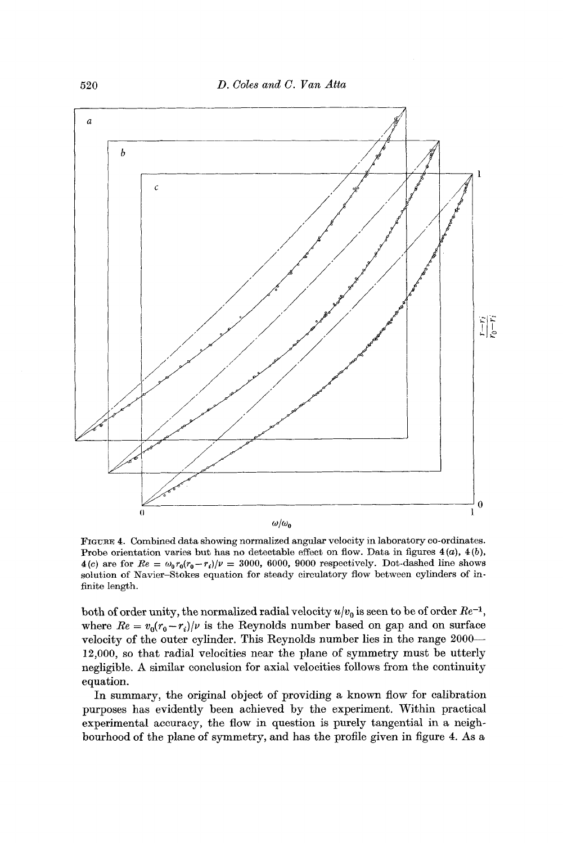

**FIGURE 4.** Combined data showing normalized angular velocity in laboratory co-ordinates. Probe orientation varies but has no detectable effect on flow. Data in figures  $4(a)$ ,  $4(b)$ ,  $4(c)$  are for  $Re = \omega_0 r_0 (r_0 - r_i)/\nu = 3000$ , 6000, 9000 respectively. Dot-dashed line shows solution **of** Navier-Stokes equation for steady circulatory flow between cylinders of infinite length.

both of order unity, the normalized radial velocity  $u/v_0$  is seen to be of order  $Re^{-1}$ , where  $Re = v_0(r_0 - r_i)/\nu$  is the Reynolds number based on gap and on surface velocity of the outer cylinder. This Reynolds number lies in the range **2000-**  12,000, so that radial velocities near the plane of symmetry must be utterly negligible. **A** similar conclusion for axial velocities follows from the continuity equation.

In summary, the original object of providing a known flow for calibration purposes has evidently been achieved by the experiment. Within practical experimental accuracy, the flow in question is purely tangential in **a** neighbourhood of the plane of symmetry, and has the profile given in figure **4. As** a